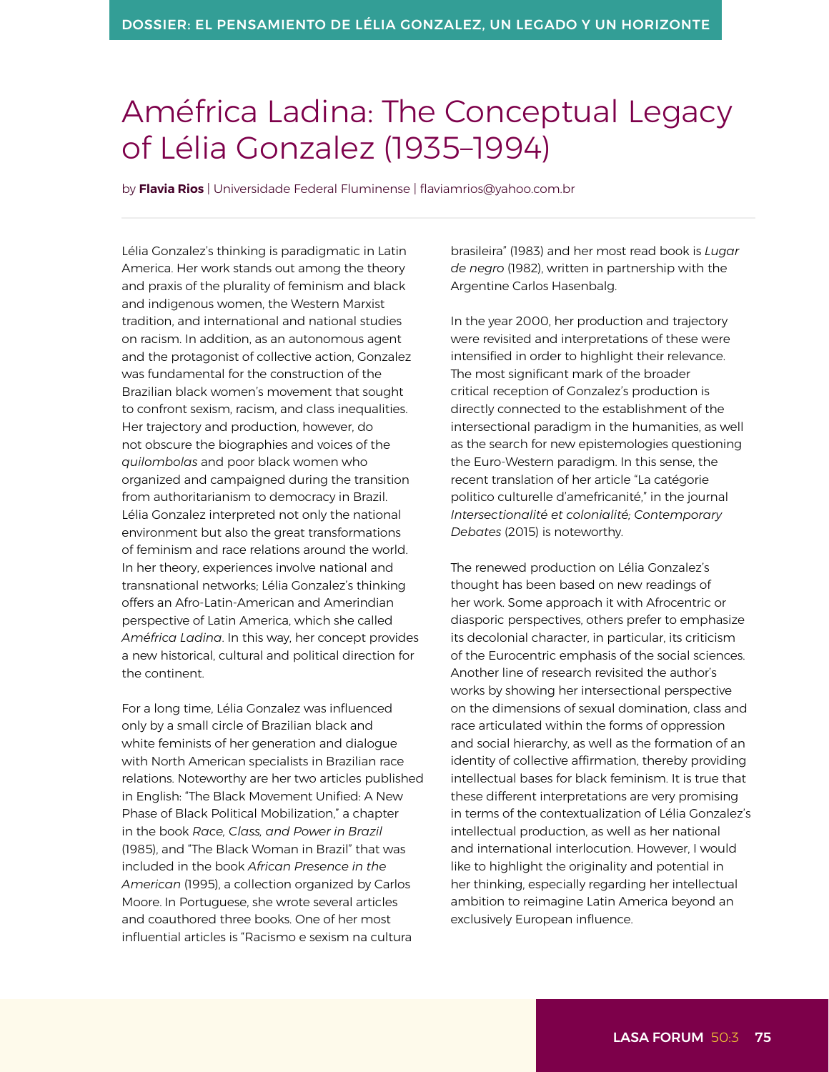## Améfrica Ladina: The Conceptual Legacy of Lélia Gonzalez (1935–1994)

by **Flavia Rios** | Universidade Federal Fluminense | [flaviamrios@yahoo.com.br](mailto:flaviamrios@yahoo.com.br) 

Lélia Gonzalez's thinking is paradigmatic in Latin America. Her work stands out among the theory and praxis of the plurality of feminism and black and indigenous women, the Western Marxist tradition, and international and national studies on racism. In addition, as an autonomous agent and the protagonist of collective action, Gonzalez was fundamental for the construction of the Brazilian black women's movement that sought to confront sexism, racism, and class inequalities. Her trajectory and production, however, do not obscure the biographies and voices of the *quilombolas* and poor black women who organized and campaigned during the transition from authoritarianism to democracy in Brazil. Lélia Gonzalez interpreted not only the national environment but also the great transformations of feminism and race relations around the world. In her theory, experiences involve national and transnational networks; Lélia Gonzalez's thinking offers an Afro-Latin-American and Amerindian perspective of Latin America, which she called *Améfrica Ladina*. In this way, her concept provides a new historical, cultural and political direction for the continent.

For a long time, Lélia Gonzalez was influenced only by a small circle of Brazilian black and white feminists of her generation and dialogue with North American specialists in Brazilian race relations. Noteworthy are her two articles published in English: "The Black Movement Unified: A New Phase of Black Political Mobilization," a chapter in the book *Race, Class, and Power in Brazil*  (1985), and "The Black Woman in Brazil" that was included in the book *African Presence in the American* (1995), a collection organized by Carlos Moore. In Portuguese, she wrote several articles and coauthored three books. One of her most influential articles is "Racismo e sexism na cultura

brasileira" (1983) and her most read book is *Lugar de negro* (1982), written in partnership with the Argentine Carlos Hasenbalg.

In the year 2000, her production and trajectory were revisited and interpretations of these were intensified in order to highlight their relevance. The most significant mark of the broader critical reception of Gonzalez's production is directly connected to the establishment of the intersectional paradigm in the humanities, as well as the search for new epistemologies questioning the Euro-Western paradigm. In this sense, the recent translation of her article "La catégorie politico culturelle d'amefricanité," in the journal *Intersectionalité et colonialité; Contemporary Debates* (2015) is noteworthy.

The renewed production on Lélia Gonzalez's thought has been based on new readings of her work. Some approach it with Afrocentric or diasporic perspectives, others prefer to emphasize its decolonial character, in particular, its criticism of the Eurocentric emphasis of the social sciences. Another line of research revisited the author's works by showing her intersectional perspective on the dimensions of sexual domination, class and race articulated within the forms of oppression and social hierarchy, as well as the formation of an identity of collective affirmation, thereby providing intellectual bases for black feminism. It is true that these different interpretations are very promising in terms of the contextualization of Lélia Gonzalez's intellectual production, as well as her national and international interlocution. However, I would like to highlight the originality and potential in her thinking, especially regarding her intellectual ambition to reimagine Latin America beyond an exclusively European influence.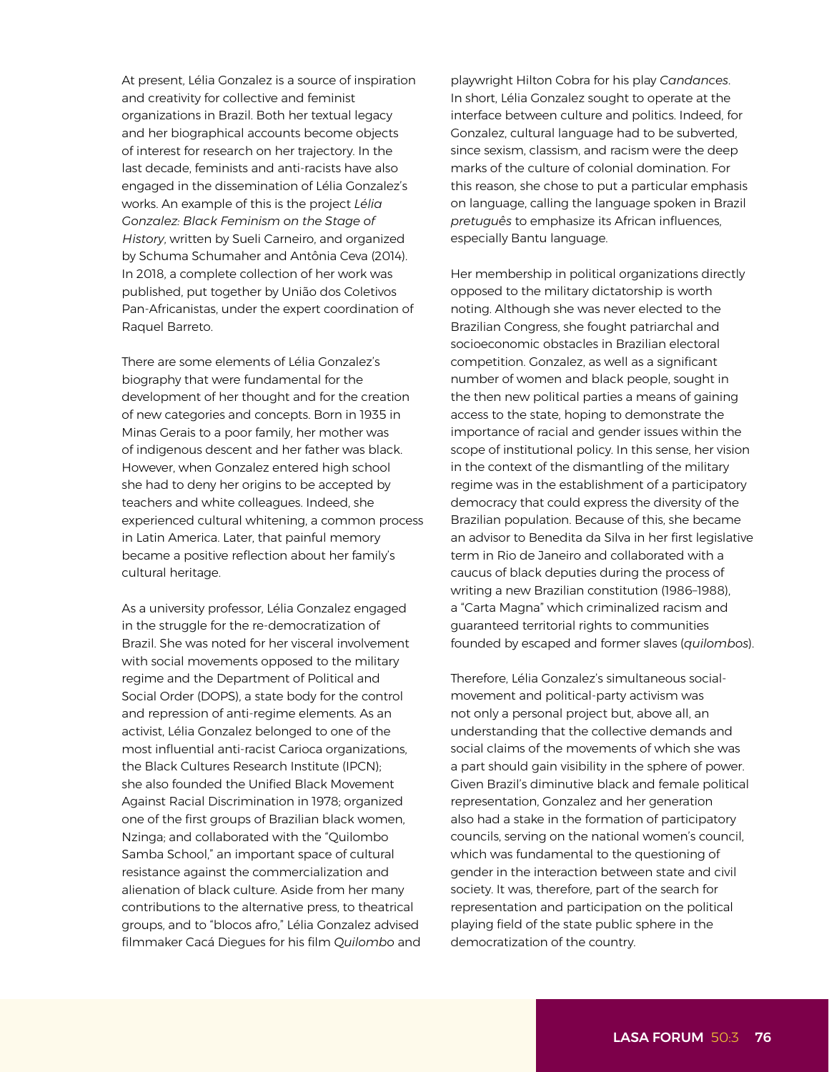At present, Lélia Gonzalez is a source of inspiration and creativity for collective and feminist organizations in Brazil. Both her textual legacy and her biographical accounts become objects of interest for research on her trajectory. In the last decade, feminists and anti-racists have also engaged in the dissemination of Lélia Gonzalez's works. An example of this is the project *Lélia Gonzalez: Black Feminism on the Stage of History*, written by Sueli Carneiro, and organized by Schuma Schumaher and Antônia Ceva (2014). In 2018, a complete collection of her work was published, put together by União dos Coletivos Pan-Africanistas, under the expert coordination of Raquel Barreto.

There are some elements of Lélia Gonzalez's biography that were fundamental for the development of her thought and for the creation of new categories and concepts. Born in 1935 in Minas Gerais to a poor family, her mother was of indigenous descent and her father was black. However, when Gonzalez entered high school she had to deny her origins to be accepted by teachers and white colleagues. Indeed, she experienced cultural whitening, a common process in Latin America. Later, that painful memory became a positive reflection about her family's cultural heritage.

As a university professor, Lélia Gonzalez engaged in the struggle for the re-democratization of Brazil. She was noted for her visceral involvement with social movements opposed to the military regime and the Department of Political and Social Order (DOPS), a state body for the control and repression of anti-regime elements. As an activist, Lélia Gonzalez belonged to one of the most influential anti-racist Carioca organizations, the Black Cultures Research Institute (IPCN); she also founded the Unified Black Movement Against Racial Discrimination in 1978; organized one of the first groups of Brazilian black women, Nzinga; and collaborated with the "Quilombo Samba School," an important space of cultural resistance against the commercialization and alienation of black culture. Aside from her many contributions to the alternative press, to theatrical groups, and to "blocos afro," Lélia Gonzalez advised filmmaker Cacá Diegues for his film *Quilombo* and

playwright Hilton Cobra for his play *Candances*. In short, Lélia Gonzalez sought to operate at the interface between culture and politics. Indeed, for Gonzalez, cultural language had to be subverted, since sexism, classism, and racism were the deep marks of the culture of colonial domination. For this reason, she chose to put a particular emphasis on language, calling the language spoken in Brazil *pretuguês* to emphasize its African influences, especially Bantu language.

Her membership in political organizations directly opposed to the military dictatorship is worth noting. Although she was never elected to the Brazilian Congress, she fought patriarchal and socioeconomic obstacles in Brazilian electoral competition. Gonzalez, as well as a significant number of women and black people, sought in the then new political parties a means of gaining access to the state, hoping to demonstrate the importance of racial and gender issues within the scope of institutional policy. In this sense, her vision in the context of the dismantling of the military regime was in the establishment of a participatory democracy that could express the diversity of the Brazilian population. Because of this, she became an advisor to Benedita da Silva in her first legislative term in Rio de Janeiro and collaborated with a caucus of black deputies during the process of writing a new Brazilian constitution (1986–1988), a "Carta Magna" which criminalized racism and guaranteed territorial rights to communities founded by escaped and former slaves (*quilombos*).

Therefore, Lélia Gonzalez's simultaneous socialmovement and political-party activism was not only a personal project but, above all, an understanding that the collective demands and social claims of the movements of which she was a part should gain visibility in the sphere of power. Given Brazil's diminutive black and female political representation, Gonzalez and her generation also had a stake in the formation of participatory councils, serving on the national women's council, which was fundamental to the questioning of gender in the interaction between state and civil society. It was, therefore, part of the search for representation and participation on the political playing field of the state public sphere in the democratization of the country.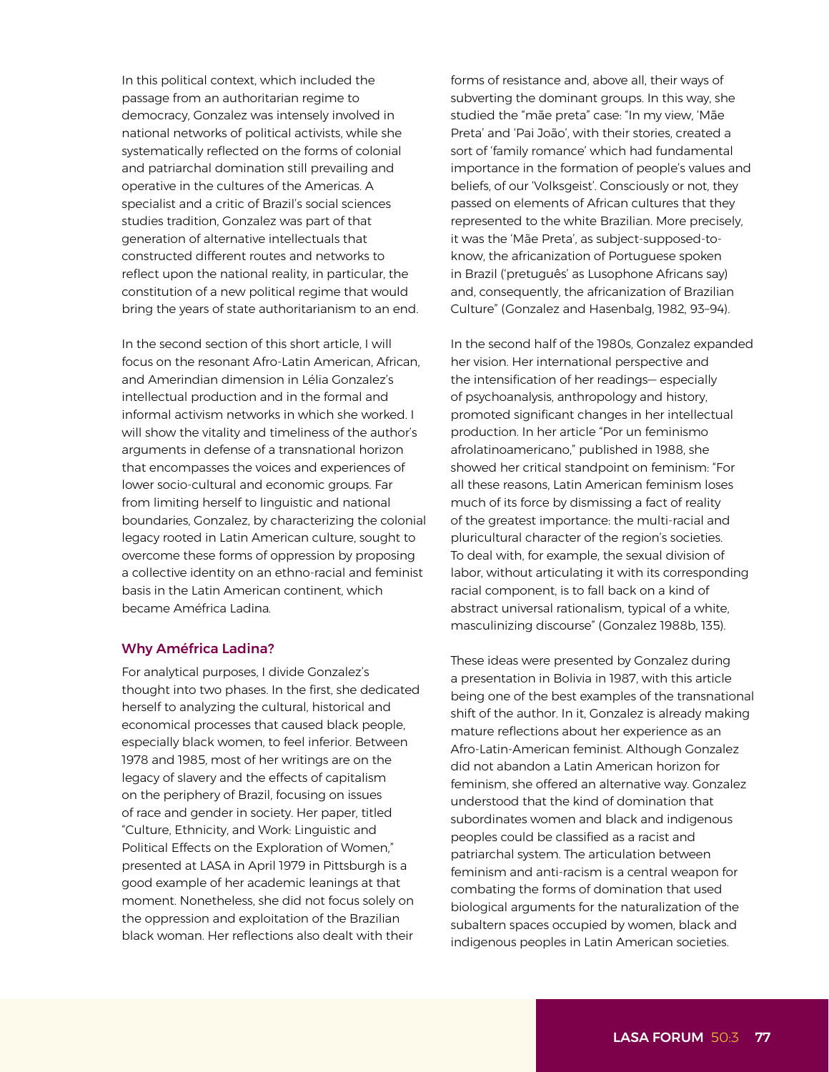In this political context, which included the passage from an authoritarian regime to democracy, Gonzalez was intensely involved in national networks of political activists, while she systematically reflected on the forms of colonial and patriarchal domination still prevailing and operative in the cultures of the Americas. A specialist and a critic of Brazil's social sciences studies tradition, Gonzalez was part of that generation of alternative intellectuals that constructed different routes and networks to reflect upon the national reality, in particular, the constitution of a new political regime that would bring the years of state authoritarianism to an end.

In the second section of this short article, I will focus on the resonant Afro-Latin American, African and Amerindian dimension in Lélia Gonzalez's intellectual production and in the formal and informal activism networks in which she worked. I will show the vitality and timeliness of the author's arguments in defense of a transnational horizon that encompasses the voices and experiences of lower socio-cultural and economic groups. Far from limiting herself to linguistic and national boundaries, Gonzalez, by characterizing the colonial legacy rooted in Latin American culture, sought to overcome these forms of oppression by proposing a collective identity on an ethno-racial and feminist basis in the Latin American continent, which became Améfrica Ladina*.*

## Why Améfrica Ladina?

For analytical purposes, I divide Gonzalez's thought into two phases. In the first, she dedicated herself to analyzing the cultural, historical and economical processes that caused black people, especially black women, to feel inferior. Between 1978 and 1985, most of her writings are on the legacy of slavery and the effects of capitalism on the periphery of Brazil, focusing on issues of race and gender in society. Her paper, titled "Culture, Ethnicity, and Work: Linguistic and Political Effects on the Exploration of Women," presented at LASA in April 1979 in Pittsburgh is a good example of her academic leanings at that moment. Nonetheless, she did not focus solely on the oppression and exploitation of the Brazilian black woman. Her reflections also dealt with their

forms of resistance and, above all, their ways of subverting the dominant groups. In this way, she studied the "mãe preta" case: "In my view, 'Mãe Preta' and 'Pai João', with their stories, created a sort of 'family romance' which had fundamental importance in the formation of people's values and beliefs, of our 'Volksgeist'. Consciously or not, they passed on elements of African cultures that they represented to the white Brazilian. More precisely, it was the 'Mãe Preta', as subject-supposed-toknow, the africanization of Portuguese spoken in Brazil ('pretuguês' as Lusophone Africans say) and, consequently, the africanization of Brazilian Culture" (Gonzalez and Hasenbalg, 1982, 93–94).

In the second half of the 1980s, Gonzalez expanded her vision. Her international perspective and the intensification of her readings— especially of psychoanalysis, anthropology and history, promoted significant changes in her intellectual production. In her article "Por un feminismo afrolatinoamericano," published in 1988, she showed her critical standpoint on feminism: "For all these reasons, Latin American feminism loses much of its force by dismissing a fact of reality of the greatest importance: the multi-racial and pluricultural character of the region's societies. To deal with, for example, the sexual division of labor, without articulating it with its corresponding racial component, is to fall back on a kind of abstract universal rationalism, typical of a white, masculinizing discourse" (Gonzalez 1988b, 135).

These ideas were presented by Gonzalez during a presentation in Bolivia in 1987, with this article being one of the best examples of the transnational shift of the author. In it, Gonzalez is already making mature reflections about her experience as an Afro-Latin-American feminist. Although Gonzalez did not abandon a Latin American horizon for feminism, she offered an alternative way. Gonzalez understood that the kind of domination that subordinates women and black and indigenous peoples could be classified as a racist and patriarchal system. The articulation between feminism and anti-racism is a central weapon for combating the forms of domination that used biological arguments for the naturalization of the subaltern spaces occupied by women, black and indigenous peoples in Latin American societies.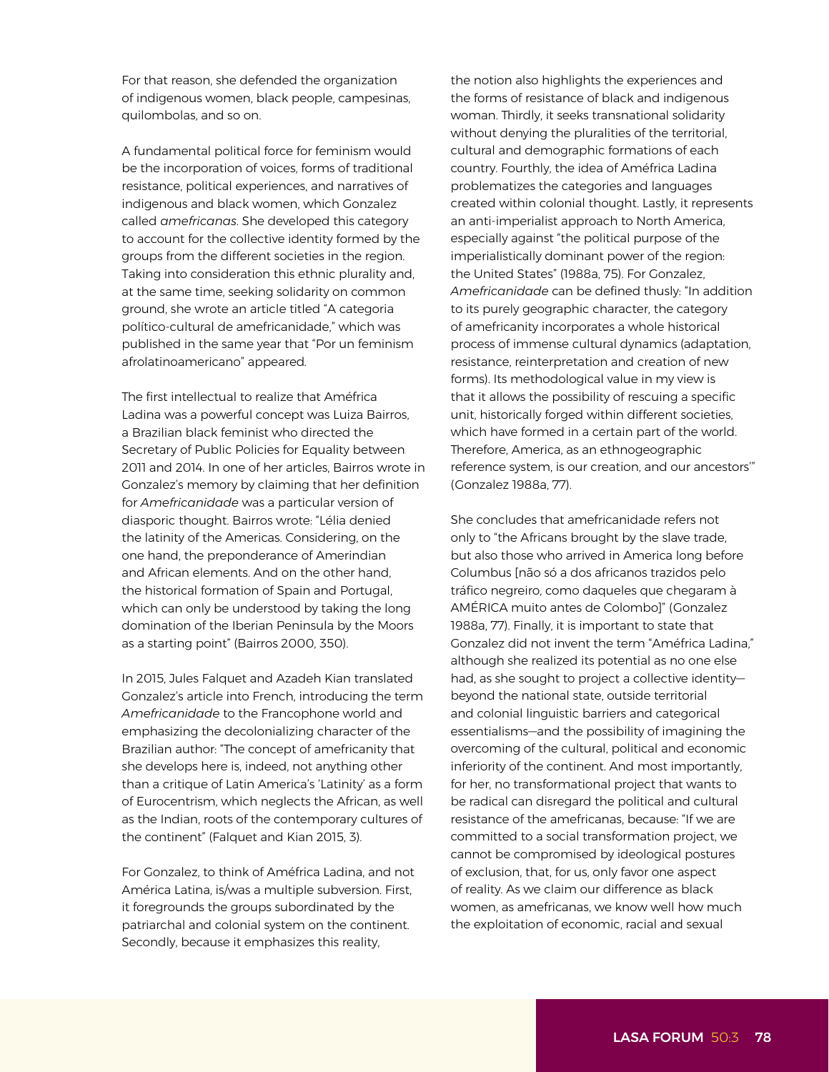For that reason, she defended the organization of indigenous women, black people, campesinas, quilombolas, and so on.

A fundamental political force for feminism would be the incorporation of voices, forms of traditional resistance, political experiences, and narratives of indigenous and black women, which Gonzalez called *amefricanas*. She developed this category to account for the collective identity formed by the groups from the different societies in the region. Taking into consideration this ethnic plurality and, at the same time, seeking solidarity on common ground, she wrote an article titled "A categoria político-cultural de amefricanidade," which was published in the same year that "Por un feminism afrolatinoamericano" appeared*.* 

The first intellectual to realize that Améfrica Ladina was a powerful concept was Luiza Bairros, a Brazilian black feminist who directed the Secretary of Public Policies for Equality between 2011 and 2014. In one of her articles, Bairros wrote in Gonzalez's memory by claiming that her definition for *Amefricanidade* was a particular version of diasporic thought. Bairros wrote: "Lélia denied the latinity of the Americas. Considering, on the one hand, the preponderance of Amerindian and African elements. And on the other hand, the historical formation of Spain and Portugal, which can only be understood by taking the long domination of the Iberian Peninsula by the Moors as a starting point" (Bairros 2000, 350).

In 2015, Jules Falquet and Azadeh Kian translated Gonzalez's article into French, introducing the term *Amefricanidade* to the Francophone world and emphasizing the decolonializing character of the Brazilian author: "The concept of amefricanity that she develops here is, indeed, not anything other than a critique of Latin America's 'Latinity' as a form of Eurocentrism, which neglects the African, as well as the Indian, roots of the contemporary cultures of the continent" (Falquet and Kian 2015, 3).

For Gonzalez, to think of Améfrica Ladina, and not América Latina, is/was a multiple subversion. First, it foregrounds the groups subordinated by the patriarchal and colonial system on the continent. Secondly, because it emphasizes this reality,

the notion also highlights the experiences and the forms of resistance of black and indigenous woman. Thirdly, it seeks transnational solidarity without denying the pluralities of the territorial, cultural and demographic formations of each country. Fourthly, the idea of Améfrica Ladina problematizes the categories and languages created within colonial thought. Lastly, it represents an anti-imperialist approach to North America, especially against "the political purpose of the imperialistically dominant power of the region: the United States" (1988a, 75). For Gonzalez, *Amefricanidade* can be defined thusly: "In addition to its purely geographic character, the category of amefricanity incorporates a whole historical process of immense cultural dynamics (adaptation, resistance, reinterpretation and creation of new forms). Its methodological value in my view is that it allows the possibility of rescuing a specific unit, historically forged within different societies, which have formed in a certain part of the world. Therefore, America, as an ethnogeographic reference system, is our creation, and our ancestors'" (Gonzalez 1988a, 77).

She concludes that amefricanidade refers not only to "the Africans brought by the slave trade, but also those who arrived in America long before Columbus [não só a dos africanos trazidos pelo tráfico negreiro, como daqueles que chegaram à AMÉRICA muito antes de Colombo]" (Gonzalez 1988a, 77). Finally, it is important to state that Gonzalez did not invent the term "Améfrica Ladina," although she realized its potential as no one else had, as she sought to project a collective identity beyond the national state, outside territorial and colonial linguistic barriers and categorical essentialisms—and the possibility of imagining the overcoming of the cultural, political and economic inferiority of the continent. And most importantly, for her, no transformational project that wants to be radical can disregard the political and cultural resistance of the amefricanas, because: "If we are committed to a social transformation project, we cannot be compromised by ideological postures of exclusion, that, for us, only favor one aspect of reality. As we claim our difference as black women, as amefricanas, we know well how much the exploitation of economic, racial and sexual